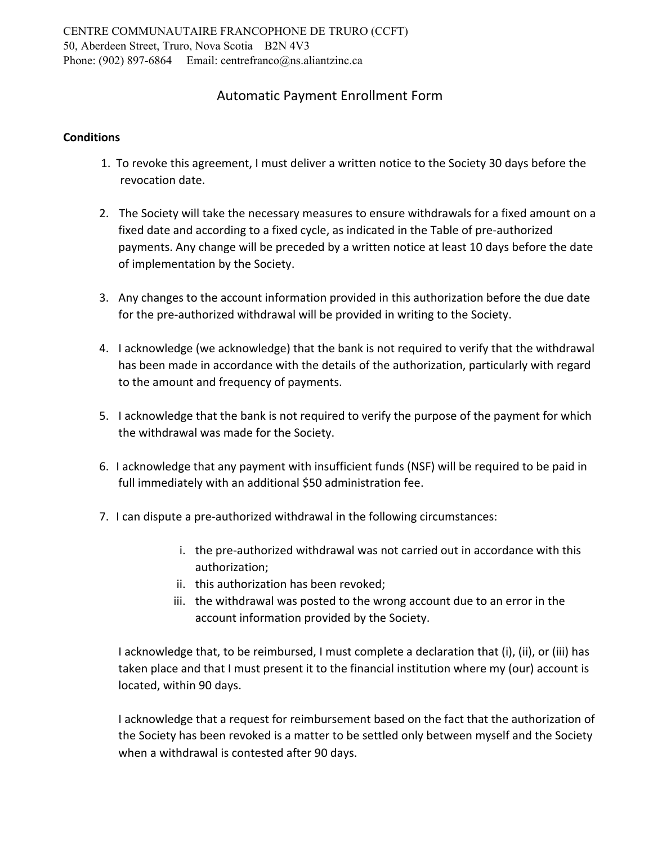## Automatic Payment Enrollment Form

## **Conditions**

- 1. To revoke this agreement, I must deliver a written notice to the Society 30 days before the revocation date.
- 2. The Society will take the necessary measures to ensure withdrawals for a fixed amount on a fixed date and according to a fixed cycle, as indicated in the Table of pre‐authorized payments. Any change will be preceded by a written notice at least 10 days before the date of implementation by the Society.
- 3. Any changes to the account information provided in this authorization before the due date for the pre-authorized withdrawal will be provided in writing to the Society.
- 4. I acknowledge (we acknowledge) that the bank is not required to verify that the withdrawal has been made in accordance with the details of the authorization, particularly with regard to the amount and frequency of payments.
- 5. I acknowledge that the bank is not required to verify the purpose of the payment for which the withdrawal was made for the Society.
- 6. I acknowledge that any payment with insufficient funds (NSF) will be required to be paid in full immediately with an additional \$50 administration fee.
- 7. I can dispute a pre‐authorized withdrawal in the following circumstances:
	- i. the pre-authorized withdrawal was not carried out in accordance with this authorization;
	- ii. this authorization has been revoked;
	- iii. the withdrawal was posted to the wrong account due to an error in the account information provided by the Society.

I acknowledge that, to be reimbursed, I must complete a declaration that (i), (ii), or (iii) has taken place and that I must present it to the financial institution where my (our) account is located, within 90 days.

I acknowledge that a request for reimbursement based on the fact that the authorization of the Society has been revoked is a matter to be settled only between myself and the Society when a withdrawal is contested after 90 days.